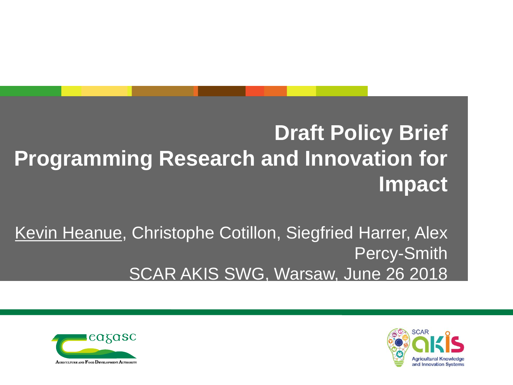#### **Draft Policy Brief Programming Research and Innovation for Impact**

Kevin Heanue, Christophe Cotillon, Siegfried Harrer, Alex Percy-Smith SCAR AKIS SWG, Warsaw, June 26 2018



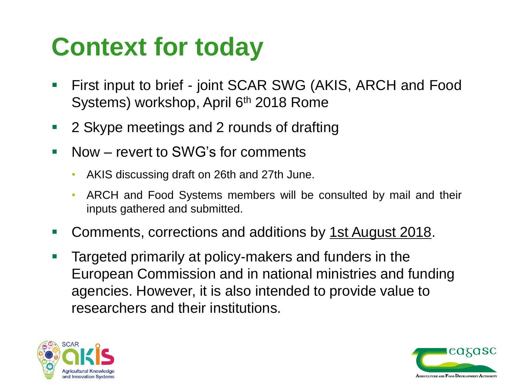## **Context for today**

- First input to brief joint SCAR SWG (AKIS, ARCH and Food Systems) workshop, April 6<sup>th</sup> 2018 Rome
- **2 Skype meetings and 2 rounds of drafting**
- Now revert to SWG's for comments
	- AKIS discussing draft on 26th and 27th June.
	- ARCH and Food Systems members will be consulted by mail and their inputs gathered and submitted.
- Comments, corrections and additions by 1st August 2018.
- **Targeted primarily at policy-makers and funders in the** European Commission and in national ministries and funding agencies. However, it is also intended to provide value to researchers and their institutions.



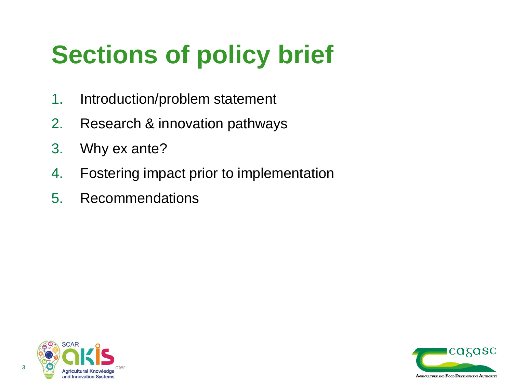# **Sections of policy brief**

- 1. Introduction/problem statement
- 2. Research & innovation pathways
- 3. Why ex ante?
- 4. Fostering impact prior to implementation
- 5. Recommendations



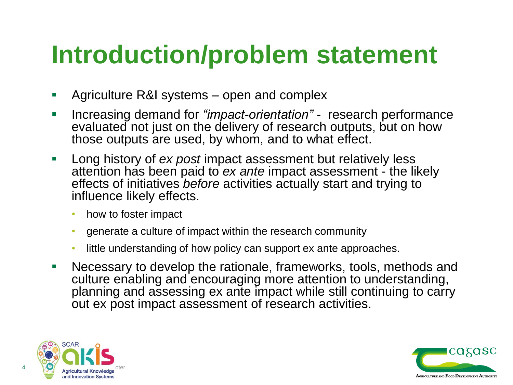## **Introduction/problem statement**

- Agriculture R&I systems open and complex
- Increasing demand for *"impact-orientation"*  research performance evaluated not just on the delivery of research outputs, but on how those outputs are used, by whom, and to what effect.
- **Long history of** *ex post* **impact assessment but relatively less** attention has been paid to *ex ante* impact assessment - the likely effects of initiatives *before* activities actually start and trying to influence likely effects.
	- how to foster impact
	- generate a culture of impact within the research community
	- little understanding of how policy can support ex ante approaches.
- Necessary to develop the rationale, frameworks, tools, methods and culture enabling and encouraging more attention to understanding, planning and assessing ex ante impact while still continuing to carry out ex post impact assessment of research activities.



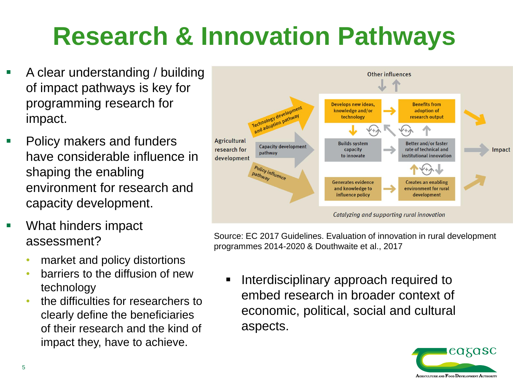# **Research & Innovation Pathways**

- A clear understanding / building of impact pathways is key for programming research for impact.
- Policy makers and funders have considerable influence in shaping the enabling environment for research and capacity development.
- What hinders impact assessment?
	- market and policy distortions
	- barriers to the diffusion of new technology
	- the difficulties for researchers to clearly define the beneficiaries of their research and the kind of impact they, have to achieve.



Source: EC 2017 Guidelines. Evaluation of innovation in rural development programmes 2014-2020 & Douthwaite et al., 2017

 Interdisciplinary approach required to embed research in broader context of economic, political, social and cultural aspects.

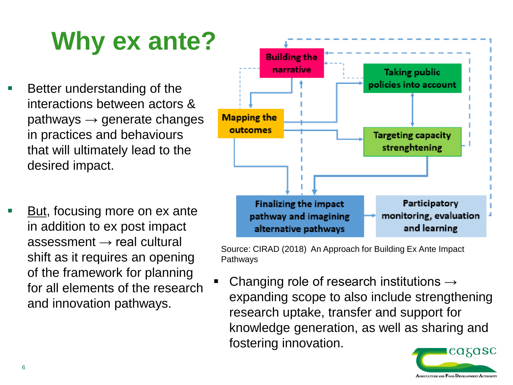# **Why ex ante?**

- Better understanding of the interactions between actors &  $pathways \rightarrow generate changes$ in practices and behaviours that will ultimately lead to the desired impact.
- But, focusing more on ex ante in addition to ex post impact  $assessment \rightarrow real cultural$ shift as it requires an opening of the framework for planning for all elements of the research and innovation pathways.



Source: CIRAD (2018) An Approach for Building Ex Ante Impact Pathways

Changing role of research institutions  $\rightarrow$ expanding scope to also include strengthening research uptake, transfer and support for knowledge generation, as well as sharing and fostering innovation.

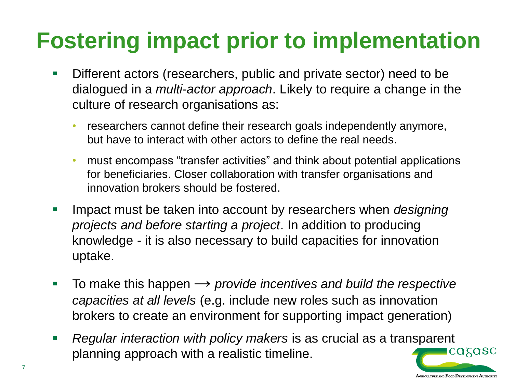### **Fostering impact prior to implementation**

- Different actors (researchers, public and private sector) need to be dialogued in a *multi-actor approach*. Likely to require a change in the culture of research organisations as:
	- researchers cannot define their research goals independently anymore, but have to interact with other actors to define the real needs.
	- must encompass "transfer activities" and think about potential applications for beneficiaries. Closer collaboration with transfer organisations and innovation brokers should be fostered.
- Impact must be taken into account by researchers when *designing projects and before starting a project*. In addition to producing knowledge - it is also necessary to build capacities for innovation uptake.
- To make this happen  $\rightarrow$  *provide incentives and build the respective capacities at all levels* (e.g. include new roles such as innovation brokers to create an environment for supporting impact generation)
- *Regular interaction with policy makers* is as crucial as a transparent cagasc planning approach with a realistic timeline.

AGRICULTURE AND FOOD DEVELOPMENT AUTHORITY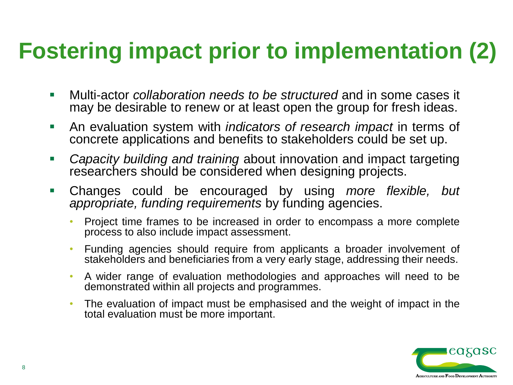### **Fostering impact prior to implementation (2)**

- Multi-actor *collaboration needs to be structured* and in some cases it may be desirable to renew or at least open the group for fresh ideas.
- An evaluation system with *indicators of research impact* in terms of concrete applications and benefits to stakeholders could be set up.
- *Capacity building and training* about innovation and impact targeting researchers should be considered when designing projects.
- Changes could be encouraged by using *more flexible, but appropriate, funding requirements* by funding agencies.
	- Project time frames to be increased in order to encompass a more complete process to also include impact assessment.
	- Funding agencies should require from applicants a broader involvement of stakeholders and beneficiaries from a very early stage, addressing their needs.
	- A wider range of evaluation methodologies and approaches will need to be demonstrated within all projects and programmes.
	- The evaluation of impact must be emphasised and the weight of impact in the total evaluation must be more important.

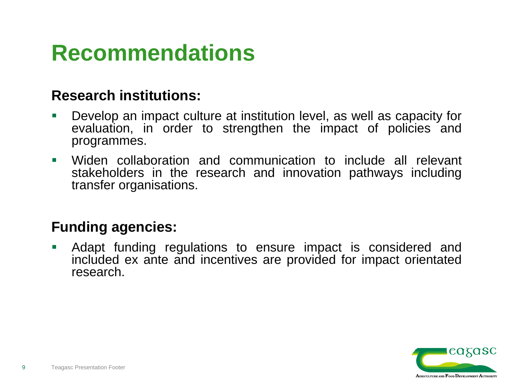### **Recommendations**

#### **Research institutions:**

- Develop an impact culture at institution level, as well as capacity for evaluation, in order to strengthen the impact of policies and programmes.
- Widen collaboration and communication to include all relevant stakeholders in the research and innovation pathways including transfer organisations.

#### **Funding agencies:**

 Adapt funding regulations to ensure impact is considered and included ex ante and incentives are provided for impact orientated research.

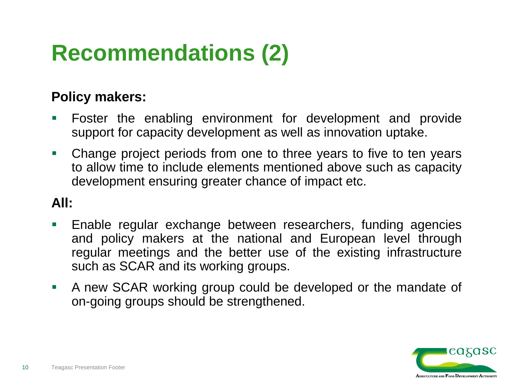### **Recommendations (2)**

#### **Policy makers:**

- Foster the enabling environment for development and provide support for capacity development as well as innovation uptake.
- Change project periods from one to three years to five to ten years to allow time to include elements mentioned above such as capacity development ensuring greater chance of impact etc.

#### **All:**

- **Enable regular exchange between researchers, funding agencies** and policy makers at the national and European level through regular meetings and the better use of the existing infrastructure such as SCAR and its working groups.
- A new SCAR working group could be developed or the mandate of on-going groups should be strengthened.